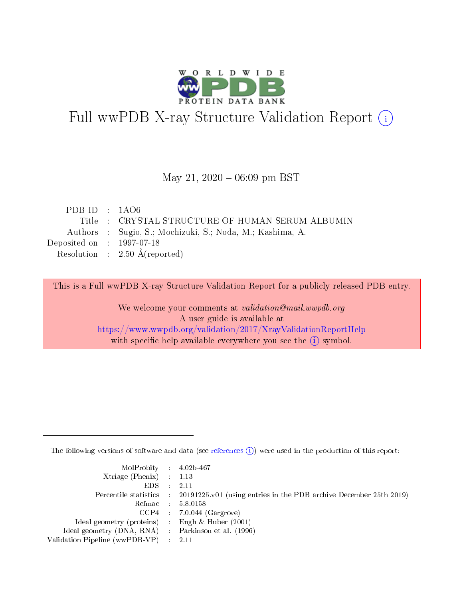

# Full wwPDB X-ray Structure Validation Report (i)

#### May 21,  $2020 - 06:09$  pm BST

| PDBID : 1AO6                                              |
|-----------------------------------------------------------|
| Title : CRYSTAL STRUCTURE OF HUMAN SERUM ALBUMIN          |
| Authors : Sugio, S.; Mochizuki, S.; Noda, M.; Kashima, A. |
| Deposited on : $1997-07-18$                               |
| Resolution : $2.50 \text{ Å}$ (reported)                  |
|                                                           |

This is a Full wwPDB X-ray Structure Validation Report for a publicly released PDB entry.

We welcome your comments at validation@mail.wwpdb.org A user guide is available at <https://www.wwpdb.org/validation/2017/XrayValidationReportHelp> with specific help available everywhere you see the  $(i)$  symbol.

The following versions of software and data (see [references](https://www.wwpdb.org/validation/2017/XrayValidationReportHelp#references)  $(i)$ ) were used in the production of this report:

| MolProbity : 4.02b-467                              |                                                                                            |
|-----------------------------------------------------|--------------------------------------------------------------------------------------------|
| Xtriage (Phenix) $: 1.13$                           |                                                                                            |
| $EDS = 2.11$                                        |                                                                                            |
|                                                     | Percentile statistics : 20191225.v01 (using entries in the PDB archive December 25th 2019) |
|                                                     | Refmac : 5.8.0158                                                                          |
|                                                     | $CCP4$ : 7.0.044 (Gargrove)                                                                |
| Ideal geometry (proteins) : Engh $\&$ Huber (2001)  |                                                                                            |
| Ideal geometry (DNA, RNA) : Parkinson et al. (1996) |                                                                                            |
| Validation Pipeline (wwPDB-VP) : 2.11               |                                                                                            |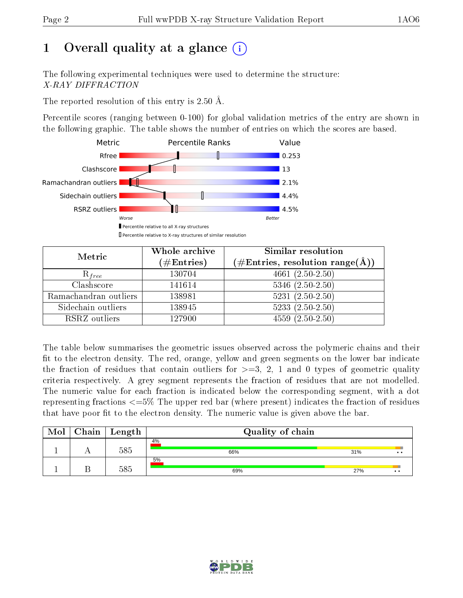# 1 [O](https://www.wwpdb.org/validation/2017/XrayValidationReportHelp#overall_quality)verall quality at a glance  $(i)$

The following experimental techniques were used to determine the structure: X-RAY DIFFRACTION

The reported resolution of this entry is 2.50 Å.

Percentile scores (ranging between 0-100) for global validation metrics of the entry are shown in the following graphic. The table shows the number of entries on which the scores are based.



| Metric                | Whole archive<br>$(\#\text{Entries})$ | Similar resolution<br>$(\#\text{Entries},\,\text{resolution}\,\,\text{range}(\textup{\AA}))$ |
|-----------------------|---------------------------------------|----------------------------------------------------------------------------------------------|
| $R_{free}$            | 130704                                | $4661 (2.50 - 2.50)$                                                                         |
| Clashscore            | 141614                                | $5346$ $(2.50-2.50)$                                                                         |
| Ramachandran outliers | 138981                                | $5231 (2.50 - 2.50)$                                                                         |
| Sidechain outliers    | 138945                                | $5233(2.50-2.50)$                                                                            |
| RSRZ outliers         | 127900                                | $4559(2.50-2.50)$                                                                            |

The table below summarises the geometric issues observed across the polymeric chains and their fit to the electron density. The red, orange, yellow and green segments on the lower bar indicate the fraction of residues that contain outliers for  $>=3, 2, 1$  and 0 types of geometric quality criteria respectively. A grey segment represents the fraction of residues that are not modelled. The numeric value for each fraction is indicated below the corresponding segment, with a dot representing fractions  $\epsilon=5\%$  The upper red bar (where present) indicates the fraction of residues that have poor fit to the electron density. The numeric value is given above the bar.

| Mol | ${\bf Chain \mid Length}$ | Quality of chain |     |                      |  |  |  |
|-----|---------------------------|------------------|-----|----------------------|--|--|--|
|     | 585                       | 4%<br>66%        | 31% | $\cdot\cdot$         |  |  |  |
|     | 585                       | 5%<br>69%        | 27% | $\ddot{\phantom{0}}$ |  |  |  |

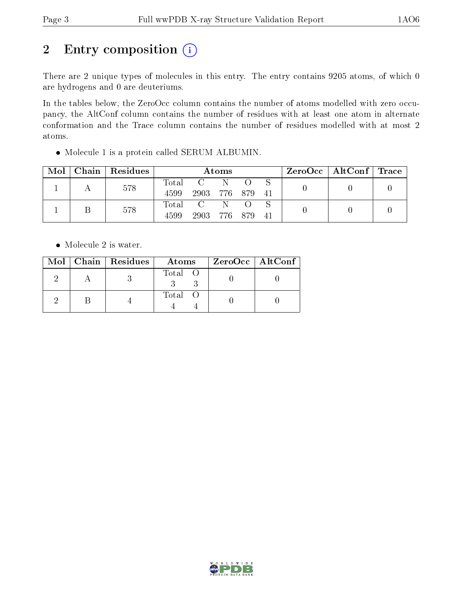# 2 Entry composition (i)

There are 2 unique types of molecules in this entry. The entry contains 9205 atoms, of which 0 are hydrogens and 0 are deuteriums.

In the tables below, the ZeroOcc column contains the number of atoms modelled with zero occupancy, the AltConf column contains the number of residues with at least one atom in alternate conformation and the Trace column contains the number of residues modelled with at most 2 atoms.

Molecule 1 is a protein called SERUM ALBUMIN.

| Mol | Chain   Residues | Atoms         |                 |  |     |     | $\text{ZeroOcc}$   AltConf   Trace |  |
|-----|------------------|---------------|-----------------|--|-----|-----|------------------------------------|--|
|     | 578              | Total<br>4599 | 2903 776 879 41 |  |     |     |                                    |  |
|     | 578              | Total<br>4599 | 2903 776        |  | 879 | -41 |                                    |  |

• Molecule 2 is water.

|  | Mol   Chain   Residues | Atoms   | ZeroOcc   AltConf |
|--|------------------------|---------|-------------------|
|  |                        | Total O |                   |
|  |                        | Total O |                   |

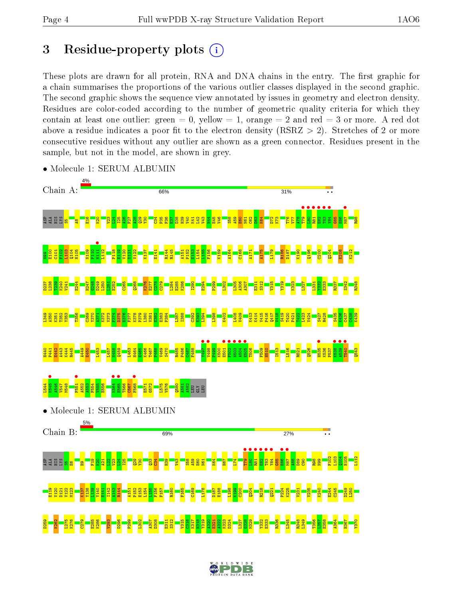## 3 Residue-property plots  $(i)$

These plots are drawn for all protein, RNA and DNA chains in the entry. The first graphic for a chain summarises the proportions of the various outlier classes displayed in the second graphic. The second graphic shows the sequence view annotated by issues in geometry and electron density. Residues are color-coded according to the number of geometric quality criteria for which they contain at least one outlier: green  $= 0$ , yellow  $= 1$ , orange  $= 2$  and red  $= 3$  or more. A red dot above a residue indicates a poor fit to the electron density (RSRZ  $> 2$ ). Stretches of 2 or more consecutive residues without any outlier are shown as a green connector. Residues present in the sample, but not in the model, are shown in grey.



• Molecule 1: SERUM ALBUMIN

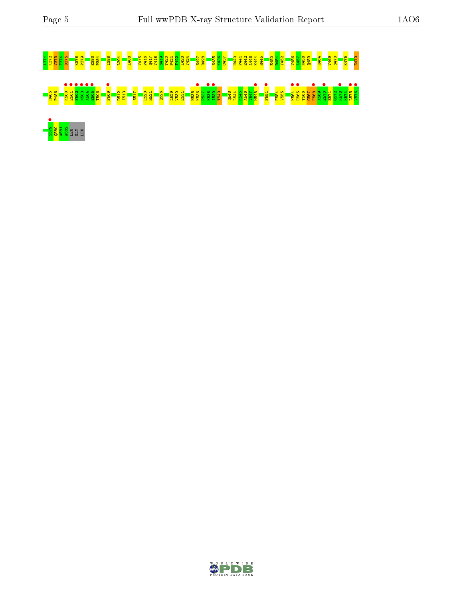# A371 K372 V373 F374 D375 K378 P379 E383 P384 I388 L394 L408 V415 P416 Q417 V418 S419 T420 P421 T422 L423 V424 S427 R428 S435 K436 C437 H440 P441 E442 A443 K444 R445 E450 D451 Y452 V456 L457 N458 Q459 H464 V469 S470 K475 E479 R485 P486 K500 • E501 • F502 • N503 • A504 • E505 • T506 F509 • D512 I513 S517 E520 R521 Q526 L529 V530 E531 H535 K536 • P537 K538 • A539 • T540 Q543 L544 K545 A546 V547 M548 • F551 • F554 V555 K564 • E565 • T566 C567 F568 • A569 E570 • E571 G572 K573 • K574 L575 • V576 • 5<br>88일<br>4 9日 급립

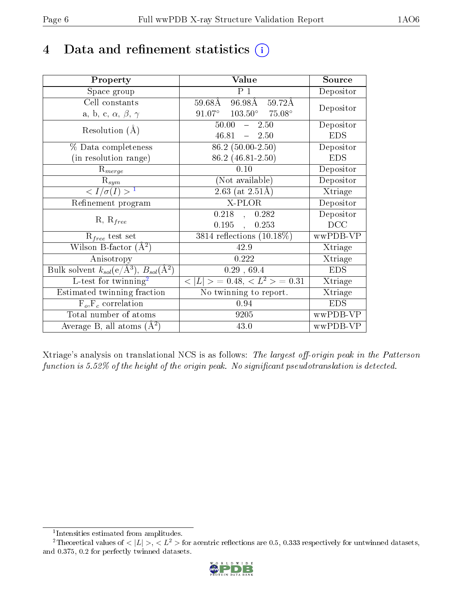## 4 Data and refinement statistics  $(i)$

| Property                                                                 | Value                                            | Source     |
|--------------------------------------------------------------------------|--------------------------------------------------|------------|
| Space group                                                              | P <sub>1</sub>                                   | Depositor  |
| Cell constants                                                           | 59.68Å 96.98Å 59.72Å                             |            |
| a, b, c, $\alpha$ , $\beta$ , $\gamma$                                   | $91.07^{\circ}$ $103.50^{\circ}$ $75.08^{\circ}$ | Depositor  |
| Resolution $(A)$                                                         | $50.00 - 2.50$                                   | Depositor  |
|                                                                          | $46.81 - 2.50$                                   | <b>EDS</b> |
| % Data completeness                                                      | $86.2(50.00-2.50)$                               | Depositor  |
| (in resolution range)                                                    | 86.2 (46.81-2.50)                                | <b>EDS</b> |
| $R_{merge}$                                                              | 0.10                                             | Depositor  |
| $\mathrm{R}_{sym}$                                                       | (Not available)                                  | Depositor  |
| $\langle I/\sigma(I) \rangle^{-1}$                                       | $2.63$ (at $2.51\text{\AA}$ )                    | Xtriage    |
| Refinement program                                                       | X-PLOR                                           | Depositor  |
|                                                                          | $0.218$ , $0.282$                                | Depositor  |
| $R, R_{free}$                                                            | 0.195,<br>0.253                                  | DCC        |
| $R_{free}$ test set                                                      | 3814 reflections $(10.18\%)$                     | wwPDB-VP   |
| Wilson B-factor $(\AA^2)$                                                | 42.9                                             | Xtriage    |
| Anisotropy                                                               | 0.222                                            | Xtriage    |
| Bulk solvent $k_{sol}(\mathrm{e}/\mathrm{A}^3),$ $B_{sol}(\mathrm{A}^2)$ | 0.29, 69.4                                       | <b>EDS</b> |
| L-test for $\mathrm{twinning}^2$                                         | $< L >$ = 0.48, $< L2 >$ = 0.31                  | Xtriage    |
| Estimated twinning fraction                                              | No twinning to report.                           | Xtriage    |
| $F_o, F_c$ correlation                                                   | 0.94                                             | <b>EDS</b> |
| Total number of atoms                                                    | 9205                                             | wwPDB-VP   |
| Average B, all atoms $(A^2)$                                             | 43.0                                             | wwPDB-VP   |

Xtriage's analysis on translational NCS is as follows: The largest off-origin peak in the Patterson function is  $5.52\%$  of the height of the origin peak. No significant pseudotranslation is detected.

<sup>&</sup>lt;sup>2</sup>Theoretical values of  $\langle |L| \rangle$ ,  $\langle L^2 \rangle$  for acentric reflections are 0.5, 0.333 respectively for untwinned datasets, and 0.375, 0.2 for perfectly twinned datasets.



<span id="page-5-1"></span><span id="page-5-0"></span><sup>1</sup> Intensities estimated from amplitudes.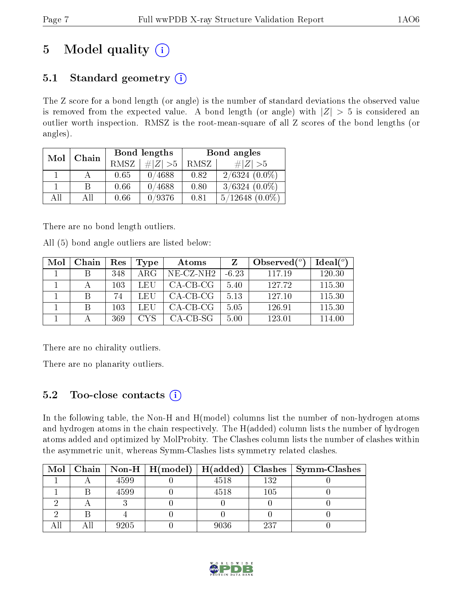# 5 Model quality  $(i)$

## 5.1 Standard geometry  $(i)$

The Z score for a bond length (or angle) is the number of standard deviations the observed value is removed from the expected value. A bond length (or angle) with  $|Z| > 5$  is considered an outlier worth inspection. RMSZ is the root-mean-square of all Z scores of the bond lengths (or angles).

| Mol | Chain |      | Bond lengths | Bond angles |                     |  |
|-----|-------|------|--------------|-------------|---------------------|--|
|     |       | RMSZ | $\# Z  > 5$  | RMSZ        | # $ Z  > 5$         |  |
|     |       | 0.65 | 0/4688       | 0.82        | $2/6324(0.0\%)$     |  |
|     | B     | 0.66 | 0/4688       | 0.80        | $3/6324(0.0\%)$     |  |
| AH  | ΑH    | 0.66 | 0/9376       | 0.81        | $5/12648$ $(0.0\%)$ |  |

There are no bond length outliers.

All (5) bond angle outliers are listed below:

| Mol | Chain | Res | Type | Atoms           |         | Observed $(°)$ | $Ideal(^o)$ |
|-----|-------|-----|------|-----------------|---------|----------------|-------------|
|     |       | 348 | ARG  | $NE$ $CZ$ $NH2$ | $-6.23$ | 117.19         | 120.30      |
|     |       | 103 | LEU  | $CA-CB-CG$      | 5.40    | 127.72         | 115.30      |
|     |       | 74  | LEU  | $CA-CB-CG$      | 5.13    | 127.10         | 115.30      |
|     |       | 103 | LEU  | $CA-CB-CG$      | 5.05    | 126.91         | 115.30      |
|     |       | 369 | CVS. | CA-CB-SG        | 5.00    | 123.01         | 114.00      |

There are no chirality outliers.

There are no planarity outliers.

## 5.2 Too-close contacts  $(i)$

In the following table, the Non-H and H(model) columns list the number of non-hydrogen atoms and hydrogen atoms in the chain respectively. The H(added) column lists the number of hydrogen atoms added and optimized by MolProbity. The Clashes column lists the number of clashes within the asymmetric unit, whereas Symm-Clashes lists symmetry related clashes.

| Mol | Chain |      | $\mid$ Non-H $\mid$ H(model) $\mid$ H(added) |      | Clashes | $\mid$ Symm-Clashes |
|-----|-------|------|----------------------------------------------|------|---------|---------------------|
|     |       | 4599 |                                              | 4518 | 132     |                     |
|     |       | 4599 |                                              | 4518 | 105     |                     |
|     |       |      |                                              |      |         |                     |
|     |       |      |                                              |      |         |                     |
|     |       | 9205 |                                              | 9036 | 237     |                     |

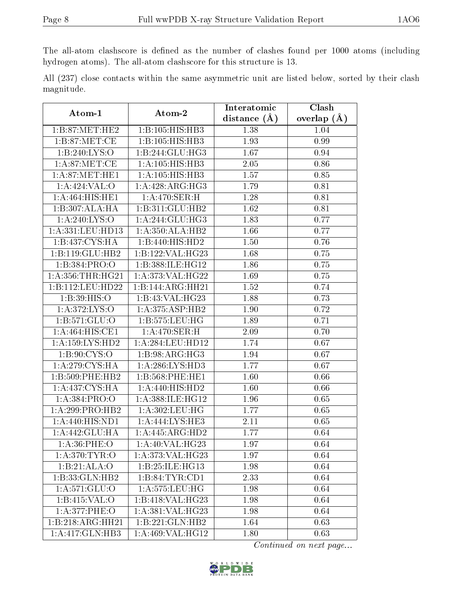The all-atom clashscore is defined as the number of clashes found per 1000 atoms (including hydrogen atoms). The all-atom clashscore for this structure is 13.

|            |  |  | All (237) close contacts within the same asymmetric unit are listed below, sorted by their clash |  |  |  |  |
|------------|--|--|--------------------------------------------------------------------------------------------------|--|--|--|--|
| magnitude. |  |  |                                                                                                  |  |  |  |  |

| Atom-1                                              | Atom-2                            | Interatomic       | Clash         |
|-----------------------------------------------------|-----------------------------------|-------------------|---------------|
|                                                     |                                   | distance $(\AA)$  | overlap $(A)$ |
| $1: B:87$ : $MET$ : $HE2$                           | 1:B:105:HIS:HBB3                  | 1.38              | 1.04          |
| 1: B:87: MET:CE                                     | 1:B:105:HIS:HBB3                  | 1.93              | 0.99          |
| 1:B:240:LYS:O                                       | 1:B:244:GLU:HG3                   | 1.67              | 0.94          |
| 1: A:87: MET:CE                                     | 1:A:105:HIS:HB3                   | 2.05              | 0.86          |
| 1: A:87: MET:HE1                                    | 1:A:105:HIS:HB3                   | 1.57              | 0.85          |
| 1:A:424:VAL:O                                       | 1:A:428:ARG:HG3                   | 1.79              | 0.81          |
| 1:A:464:HIS:HE1                                     | $1:A:470:\overline{\text{SER:H}}$ | 1.28              | 0.81          |
| 1:B:307:ALA:HA                                      | 1:B:311:GLU:HB2                   | 1.62              | 0.81          |
| 1:A:240:LYS:O                                       | 1:A:244:GLU:HG3                   | 1.83              | 0.77          |
| $1:\overline{A}.331:\overline{L}EU:\overline{H}D13$ | 1:A:350:ALA:HB2                   | 1.66              | 0.77          |
| 1:B:437:CYS:HA                                      | 1:B:440:HIS:HD2                   | 1.50              | 0.76          |
| $1:B:119:GLU:\overline{HB2}$                        | 1:B:122:VAL:HG23                  | 1.68              | 0.75          |
| 1:B:384:PRO:O                                       | 1:B:388:ILE:HG12                  | 1.86              | 0.75          |
| 1: A: 356: THR: HG21                                | 1:A:373:VAL:HG22                  | 1.69              | 0.75          |
| 1:B:112:LEU:HD22                                    | 1:B:144:ARG:HH21                  | 1.52              | 0.74          |
| 1:B:39:HIS:O                                        | 1:B:43:VAL:HG23                   | 1.88              | 0.73          |
| 1: A:372: LYS:O                                     | 1:A:375:ASP:HB2                   | 1.90              | 0.72          |
| 1: B: 571: GLU: O                                   | 1:B:575:LEU:HG                    | 1.89              | 0.71          |
| 1:A:464:HIS:CE1                                     | 1:A:470:SER:H                     | 2.09              | 0.70          |
| 1: A: 159: LYS: HD2                                 | 1:A:284:LEU:HD12                  | 1.74              | 0.67          |
| 1: B:90: CYS:O                                      | 1:B:98:ARG:HG3                    | 1.94              | 0.67          |
| 1: A:279: CYS: HA                                   | 1: A:286:LYS:HD3                  | 1.77              | 0.67          |
| 1:B:509:PHE:HB2                                     | 1:B:568:PHE:HE1                   | 1.60              | 0.66          |
| 1: A: 437: CYS: HA                                  | 1:A:440:HIS:HD2                   | 1.60              | 0.66          |
| 1:A:384:PRO:O                                       | 1:A:388:ILE:HG12                  | 1.96              | 0.65          |
| 1:A:299:PRO:HB2                                     | 1:A:302:LEU:HG                    | 1.77              | 0.65          |
| 1:A:440:HIS:ND1                                     | 1:A:444:LYS:HE3                   | 2.11              | 0.65          |
| 1:A:442:GLU:HA                                      | 1:A:445:ARG:HD2                   | 1.77              | 0.64          |
| 1: A:36:PHE:O                                       | 1:A:40:VAL:HG23                   | $\overline{1.97}$ | 0.64          |
| 1: A:370: TYR:O                                     | 1:A:373:VAL:HG23                  | 1.97              | 0.64          |
| 1:B:21:ALA:O                                        | 1:B:25:ILE:HG13                   | 1.98              | 0.64          |
| 1:B:33:GLN:HB2                                      | 1:B:84:TYR:CD1                    | $2.\overline{33}$ | 0.64          |
| 1: A:571: GLU:O                                     | 1: A:575: LEU: HG                 | 1.98              | 0.64          |
| 1:B:415:VAL:O                                       | 1:B:418:VAL:H G23                 | 1.98              | 0.64          |
| 1:A:377:PHE:O                                       | 1:A:381:VAL:HG23                  | 1.98              | 0.64          |
| 1:B:218:ARG:HH21                                    | 1:B:221:GLN:HB2                   | 1.64              | 0.63          |
| 1:A:417:GLN:HB3                                     | 1: A:469: VAL:HG12                | 1.80              | 0.63          |

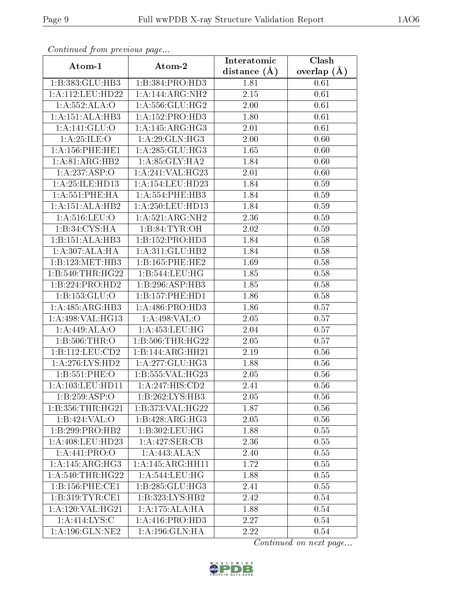| Commaca from previous page |                             | Interatomic       | Clash         |  |
|----------------------------|-----------------------------|-------------------|---------------|--|
| Atom-1                     | Atom-2                      | distance $(A)$    | overlap $(A)$ |  |
| 1:B:383:GLU:HB3            | 1:B:384:PRO:HD3             | 1.81              | 0.61          |  |
| 1:A:112:LEU:HD22           | 1:A:144:ARG:NH2             | $\overline{2.15}$ | 0.61          |  |
| 1:A:552:ALA:O              | 1: A:556: GLU:HG2           | 2.00              | 0.61          |  |
| 1:A:151:ALA:HB3            | 1: A: 152: PRO: HD3         | 1.80              | 0.61          |  |
| 1: A:141: GLU:O            | 1: A:145: ARG:HG3           | 2.01              | 0.61          |  |
| 1: A:25: ILE: O            | 1: A:29: GLN: HG3           | 2.00              | 0.60          |  |
| 1:A:156:PHE:HE1            | 1: A:285: GLU:HG3           | 1.65              | 0.60          |  |
| 1:A:81:ARG:HB2             | 1: A:85: GLY:HA2            | 1.84              | 0.60          |  |
| $1:A:237.\overline{ASP:O}$ | 1:A:241:VAL:HG23            | 2.01              | 0.60          |  |
| 1: A:25: ILE: HD13         | 1: A: 154: LEU: HD23        | 1.84              | 0.59          |  |
| 1: A:551:PHE:HA            | 1:A:554:PHE:HB3             | 1.84              | 0.59          |  |
| 1:A:151:ALA:HB2            | 1:A:250:LEU:HD13            | 1.84              | 0.59          |  |
| 1:A:516:LEU:O              | 1: A:521: ARG: NH2          | 2.36              | 0.59          |  |
| 1:B:34:CYS:HA              | 1: B:84: TYR:OH             | 2.02              | 0.59          |  |
| 1:B:151:ALA:HB3            | 1:B:152:PRO:H <sub>D3</sub> | 1.84              | 0.58          |  |
| 1:A:307:ALA:HA             | 1:A:311:GLU:HB2             | 1.84              | 0.58          |  |
| 1:B:123:MET:HB3            | 1:B:165:PHE:HE2             | 1.69              | 0.58          |  |
| 1:B:540:THR:HG22           | 1:B:544:LEU:HG              | 1.85              | 0.58          |  |
| 1:B:224:PRO:HD2            | 1:B:296:ASP:HB3             | 1.85              | 0.58          |  |
| 1:B:153:GLU:O              | 1:B:157:PHE:HD1             | 1.86              | 0.58          |  |
| 1: A:485: ARG:HB3          | 1: A:486: PRO:HD3           | 1.86              | 0.57          |  |
| 1: A:498: VAL:HG13         | 1: A:498: VAL:O             | $2.05\,$          | 0.57          |  |
| 1:A:449:ALA:O              | 1: A: 453: LEU: HG          | 2.04              | 0.57          |  |
| 1:B:506:THR:O              | 1: B:506:THR:HG22           | 2.05              | 0.57          |  |
| 1:B:112:LEU:CD2            | 1:B:144:ARG:HH21            | 2.19              | 0.56          |  |
| 1: A:276: LYS: HD2         | 1:A:277:GLU:HG3             | 1.88              | 0.56          |  |
| 1:B:551:PHE:O              | 1:B:555:VAL:HG23            | 2.05              | 0.56          |  |
| 1: A: 103: LEU: HD11       | 1: A:247: HIS: CD2          | 2.41              | 0.56          |  |
| 1:B:259:ASP:O              | 1:B:262:LYS:HB3             | 2.05              | 0.56          |  |
| 1:B:356:THR:HG21           | 1:B:373:VAL:H G22           | 1.87              | 0.56          |  |
| 1:B:424:VAL:O              | 1:B:428:ARG:HG3             | 2.05              | 0.56          |  |
| 1:B:299:PRO:HB2            | 1:B:302:LEU:HG              | 1.88              | 0.55          |  |
| 1: A:408: LEU:HD23         | 1:A:427:SER:CB              | 2.36              | 0.55          |  |
| 1:A:441:PRO:O              | 1:A:443:ALA:N               | 2.40              | 0.55          |  |
| 1:A:145:ARG:HG3            | 1:A:145:ARG:HH11            | 1.72              | 0.55          |  |
| 1: A:540:THR:HG22          | 1: A:544:LEU:HG             | 1.88              | 0.55          |  |
| 1:B:156:PHE:CE1            | 1:B:285:GLU:HG3             | 2.41              | 0.55          |  |
| 1:B:319:TYR:CE1            | 1: B: 323: LYS: HB2         | 2.42              | 0.54          |  |
| 1:A:120:VAL:HG21           | 1:A:175:ALA:HA              | 1.88              | 0.54          |  |
| 1:A:414:LYS:C              | 1:A:416:PRO:HD3             | 2.27              | 0.54          |  |
| 1:A:196:GLN:NE2            | 1:A:196:GLN:HA              | 2.22              | 0.54          |  |

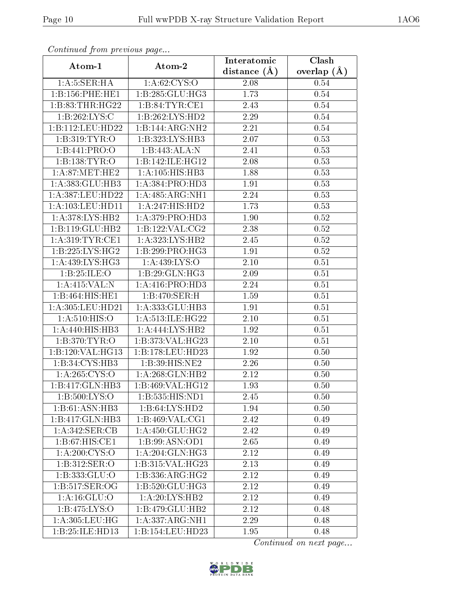| Continued from previous page |                                     | Interatomic    | Clash         |  |
|------------------------------|-------------------------------------|----------------|---------------|--|
| Atom-1                       | Atom-2                              | distance $(A)$ | overlap $(A)$ |  |
| 1: A: 5: SER: HA             | 1: A:62: CYS:O                      | 2.08           | 0.54          |  |
| 1:B:156:PHE:HE1              | 1:B:285:GLU:HG3                     | 1.73           | 0.54          |  |
| 1:B:83:THR:HG22              | 1: B:84: TYR: CE1                   | 2.43           | 0.54          |  |
| 1:B:262:LYS:C                | 1:B:262:LYS:HD2                     | 2.29           | 0.54          |  |
| 1:B:112:LEU:HD22             | 1:B:144:ARG:NH2                     | 2.21           | 0.54          |  |
| 1: B:319: TYR:O              | 1:B:323:LYS:HB3                     | 2.07           | 0.53          |  |
| 1:B:441:PRO:O                | 1:B:443:ALA:N                       | 2.41           | 0.53          |  |
| 1:B:138:TYR:O                | 1:B:142:ILE:HG12                    | 2.08           | 0.53          |  |
| 1: A:87: MET:HE2             | 1: A:105: HIS:HB3                   | 1.88           | 0.53          |  |
| 1:A:383:GLU:HB3              | 1: A: 384: PRO: HD3                 | 1.91           | 0.53          |  |
| 1: A: 387: LEU: HD22         | 1:A:485:ARG:NH1                     | 2.24           | 0.53          |  |
| 1: A:103:LEU:HD11            | $1:A:247:\overline{\text{HIS:HD2}}$ | 1.73           | 0.53          |  |
| 1: A:378: LYS: HB2           | 1:A:379:PRO:HD3                     | 1.90           | 0.52          |  |
| 1:B:119:GLU:HB2              | 1: B: 122: VAL: CG2                 | 2.38           | 0.52          |  |
| 1: A:319: TYR: CE1           | 1:A:323:LYS:HB2                     | 2.45           | 0.52          |  |
| 1:B:225:LYS:HG2              | 1:B:299:PRO:HG3                     | 1.91           | 0.52          |  |
| $1:A:\overline{439:LYS:HG3}$ | 1: A: 439: LYS: O                   | 2.10           | 0.51          |  |
| 1:B:25:ILE:O                 | 1:B:29:GLN:HG3                      | $2.09\,$       | 0.51          |  |
| 1:A:415:VAL:N                | 1: A: 416: PRO: HD3                 | 2.24           | 0.51          |  |
| 1:B:464:HIS:HE1              | 1:B:470:SER:H                       | 1.59           | 0.51          |  |
| 1:A:305:LEU:HD21             | 1:A:333:GLU:HB3                     | 1.91           | 0.51          |  |
| 1: A:510: HIS:O              | 1:A:513:ILE:HG22                    | 2.10           | 0.51          |  |
| 1:A:440:HIS:HB3              | 1:A:444:LYS:HB2                     | 1.92           | 0.51          |  |
| 1:B:370:TYR:O                | 1:B:373:VAL:HG23                    | 2.10           | 0.51          |  |
| 1:B:120:VAL:HG13             | 1:B:178:LEU:HD23                    | 1.92           | 0.50          |  |
| 1:B:34:CYS:HB3               | 1:B:39:HIS:NE2                      | 2.26           | 0.50          |  |
| 1:A:265:CYS:O                | 1: A:268: GLN:HB2                   | 2.12           | 0.50          |  |
| 1:B:417:GLN:HB3              | 1:B:469:VAL:HG12                    | 1.93           | 0.50          |  |
| 1: B: 500: LYS: O            | 1:B:535:HIS:ND1                     | 2.45           | 0.50          |  |
| 1:B:61:ASN:HB3               | 1:B:64:LYS:HD2                      | 1.94           | 0.50          |  |
| 1:B:417:GLN:HB3              | 1:B:469:VAL:CG1                     | 2.42           | 0.49          |  |
| 1:A:342:SER:CB               | 1: A:450: GLU: HG2                  | 2.42           | 0.49          |  |
| 1:B:67:HIS:CE1               | 1:B:99:ASN:OD1                      | 2.65           | 0.49          |  |
| 1: A:200:CYS:O               | 1:A:204:GLN:HG3                     | 2.12           | 0.49          |  |
| 1:B:312:SER:O                | 1: B:315: VAL:HG23                  | 2.13           | 0.49          |  |
| 1:B:333:GLU:O                | 1:B:336:ARG:HG2                     | 2.12           | 0.49          |  |
| 1: B: 517: SER: OG           | 1:B:520:GLU:HG3                     | 2.12           | 0.49          |  |
| 1: A: 16: GLU:O              | 1:A:20:LYS:HB2                      | 2.12           | 0.49          |  |
| 1: B: 475: LYS: O            | 1:B:479:GLU:HB2                     | 2.12           | 0.48          |  |
| 1:A:305:LEU:HG               | 1: A: 337: ARG: NH1                 | 2.29           | 0.48          |  |
| 1:B:25:ILE:HD13              | 1:B:154:LEU:HD23                    | 1.95           | 0.48          |  |

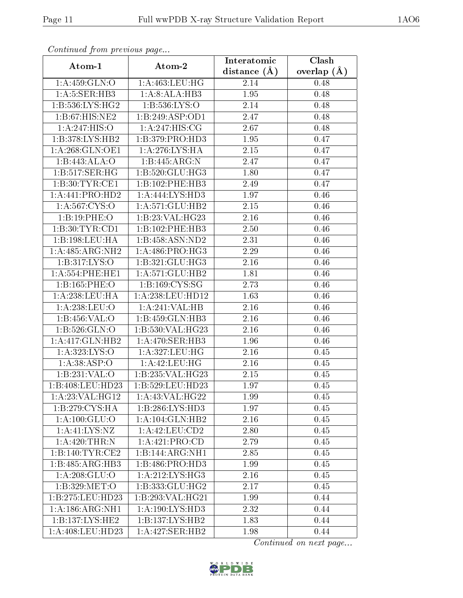| Continuea from previous page |                                                       | Interatomic       | Clash           |
|------------------------------|-------------------------------------------------------|-------------------|-----------------|
| Atom-1                       | Atom-2                                                | distance $(A)$    | overlap $(\AA)$ |
| 1: A:459: GLN:O              | 1: A: 463: LEU: HG                                    | 2.14              | 0.48            |
| 1: A: 5: SER: HB3            | 1:A:8:ALA:HB3                                         | 1.95              | 0.48            |
| 1:B:536:LYS:HG2              | 1: B: 536: LYS: O                                     | 2.14              | 0.48            |
| 1:B:67:HIS:NE2               | 1:B:249:ASP:OD1                                       | 2.47              | 0.48            |
| 1:A:247:HIS:O                | 1:A:247:HIS:CG                                        | 2.67              | 0.48            |
| 1:B:378:LYS:HB2              | 1:B:379:PRO:HD3                                       | 1.95              | 0.47            |
| 1: A:268: GLN:OE1            | 1: A:276: LYS: HA                                     | 2.15              | 0.47            |
| 1:B:443:ALA:O                | 1:B:445:ARG:N                                         | 2.47              | 0.47            |
| 1:B:517:SER:HG               | 1:B:520:GLU:HG3                                       | 1.80              | 0.47            |
| 1:B:30:TYR:CE1               | 1:B:102:PHE:HB3                                       | 2.49              | 0.47            |
| 1:A:441:PRO:HD2              | 1:A:444:LYS:HD3                                       | 1.97              | 0.46            |
| 1:A:567:CYS:O                | 1: A:571: GLU:HB2                                     | 2.15              | 0.46            |
| 1:B:19:PHE:O                 | 1:B:23:VAL:H G23                                      | 2.16              | 0.46            |
| 1:B:30:TYR:CD1               | 1:B:102:PHE:HB3                                       | 2.50              | 0.46            |
| 1:B:198:LEU:HA               | 1:B:458:ASN:ND2                                       | 2.31              | 0.46            |
| 1:A:485:ARG:NH2              | 1: A:486: PRO:HG3                                     | 2.29              | 0.46            |
| 1:B:317:LYS:O                | 1:B:321:GLU:HG3                                       | 2.16              | 0.46            |
| 1: A: 554: PHE: HE1          | 1: A:571: GLU:HB2                                     | 1.81              | 0.46            |
| 1:B:165:PHE:O                | 1:B:169:CYS:SG                                        | 2.73              | 0.46            |
| 1: A:238:LEU:HA              | 1:A:238:LEU:HD12                                      | 1.63              | 0.46            |
| 1:A:238:LEU:O                | 1:A:241:VAL:HB                                        | $\overline{2.16}$ | 0.46            |
| 1:B:456:VAL:O                | 1:B:459:GLN:HB3                                       | 2.16              | 0.46            |
| 1:B:526:GLN:O                | 1:B:530:VAL:HG23                                      | 2.16              | 0.46            |
| 1:A:417:GLN:HB2              | 1: A:470: SER:HB3                                     | 1.96              | 0.46            |
| 1:A:323:LYS:O                | 1:A:327:LEU:HG                                        | 2.16              | 0.45            |
| 1: A:38:ASP:O                | 1:A:42:LEU:HG                                         | 2.16              | 0.45            |
| 1:B:231:VAL:O                | 1:B:235:VAL:HG23                                      | 2.15              | 0.45            |
| 1:B:408:LEU:HD23             | 1:B:529:LEU:HD23                                      | 1.97              | 0.45            |
| 1:A:23:VAL:HG12              | 1: A:43: VAL:HG22                                     | 1.99              | 0.45            |
| 1:B:279:CYS:HA               | 1:B:286:LYS:HD3                                       | 1.97              | 0.45            |
| $1:A:100:\overline{GLU:O}$   | 1:A:104:GLN:HB2                                       | 2.16              | 0.45            |
| 1: A: 41: LYS: NZ            | 1:A:42:LEU:CD2                                        | 2.80              | 0.45            |
| 1:A:420:THR:N                | 1: A:421: PRO:CD                                      | 2.79              | 0.45            |
| 1:B:140:TYR:CE2              | 1:B:144:ARG:NH1                                       | 2.85              | 0.45            |
| 1:B:485:ARG:HB3              | 1:B:486:PRO:HD3                                       | 1.99              | 0.45            |
| 1: A:208: GLU:O              | 1:A:212:LYS:HG3                                       | 2.16              | 0.45            |
| 1:B:329:MET:O                | 1: B: 333: GLU: HG2                                   | 2.17              | 0.45            |
| 1:B:275:LEU:HD23             | 1:B:293:VAL:HG21                                      | 1.99              | 0.44            |
| 1: A: 186: ARG: NH1          | 1: A: 190: LYS: HD3                                   | 2.32              | 0.44            |
| 1:B:137:LYS:HE2              | 1:B:137:LYS:HB2                                       | 1.83              | 0.44            |
| 1:A:408:LEU:HD23             | $1:A:427:\overline{\text{SER:H}}\overline{\text{B2}}$ | 1.98              | 0.44            |

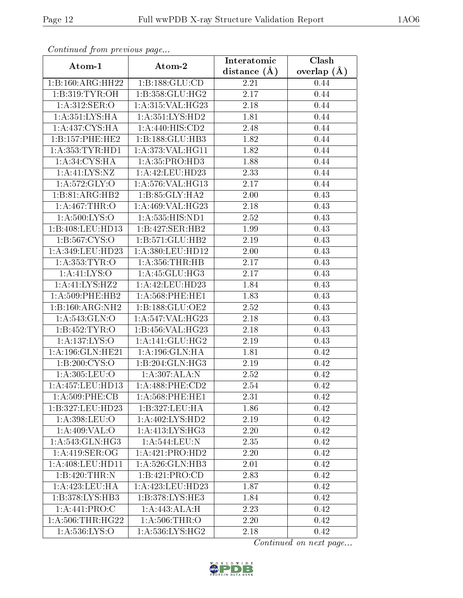| Continuea from previous page                           |                                 | Interatomic       | Clash         |
|--------------------------------------------------------|---------------------------------|-------------------|---------------|
| Atom-1                                                 | Atom-2                          | distance $(A)$    | overlap $(A)$ |
| 1:B:160:ARG:HH22                                       | 1:B:188:GLU:CD                  | 2.21              | 0.44          |
| 1:B:319:TYR:OH                                         | 1:B:358:GLU:HG2                 | 2.17              | 0.44          |
| 1: A:312: SER:O                                        | 1:A:315:VAL:HG23                | 2.18              | 0.44          |
| 1:A:351:LYS:HA                                         | 1: A: 351: LYS: HD2             | 1.81              | 0.44          |
| 1:A:437:CYS:HA                                         | 1: A:440:HIS:CD2                | 2.48              | 0.44          |
| 1:B:157:PHE:HE2                                        | 1:B:188:GLU:HB3                 | $\overline{1}.82$ | 0.44          |
| 1: A: 353: TYR: HD1                                    | 1:A:373:VAL:HG11                | 1.82              | 0.44          |
| 1: A:34: CYS: HA                                       | 1:A:35:PRO:HD3                  | 1.88              | 0.44          |
| 1: A: 41: LYS: NZ                                      | 1:A:42:LEU:HD23                 | 2.33              | 0.44          |
| 1: A:572: GLY:O                                        | 1:A:576:VAL:HG13                | 2.17              | 0.44          |
| 1:B:81:ARG:HB2                                         | 1:B:85:GLY:HA2                  | 2.00              | 0.43          |
| 1: A:467:THR:O                                         | 1:A:469:VAL:HG23                | 2.18              | 0.43          |
| 1: A:500: LYS:O                                        | 1:A:535:HIS:ND1                 | 2.52              | 0.43          |
| 1:B:408:LEU:HD13                                       | 1:B:427:SER:HB2                 | 1.99              | 0.43          |
| $1: B: 567: \overline{\text{C}Y}\overline{\text{S}:O}$ | 1:B:571:GLU:HB2                 | 2.19              | 0.43          |
| 1:A:349:LEU:HD23                                       | 1:A:380:LEU:HD12                | 2.00              | 0.43          |
| 1: A: 353: TYR: O                                      | 1: A: 356: THR: HB              | 2.17              | 0.43          |
| 1: A:41:LYS:O                                          | 1: A: 45: GLU: HG3              | 2.17              | 0.43          |
| 1:A:41:LYS:HZ2                                         | 1:A:42:LEU:HD23                 | 1.84              | 0.43          |
| 1: A:509:PHE:HB2                                       | $1: A:568:$ PHE:HE $1$          | 1.83              | 0.43          |
| 1:B:160:ARG:NH2                                        | 1:B:188:GLU:OE2                 | 2.52              | 0.43          |
| 1:A:543:GLN:O                                          | 1:A:547:VAL:HG23                | 2.18              | 0.43          |
| 1:B:452:TYR:O                                          | 1:B:456:VAL:HG23                | 2.18              | 0.43          |
| 1:A:137:LYS:O                                          | 1: A:141: GLU: HG2              | 2.19              | 0.43          |
| 1:A:196:GLN:HE21                                       | 1: A: 196: GLN: HA              | 1.81              | 0.42          |
| 1:B:200:CYS:O                                          | 1:B:204:GLN:HG3                 | 2.19              | 0.42          |
| 1:A:305:LEU:O                                          | 1:A:307:ALA:N                   | $\overline{2.52}$ | 0.42          |
| 1:A:457:LEU:HD13                                       | 1:A:488:PHE:CD2                 | 2.54              | 0.42          |
| 1: A:509: PHE:CB                                       | $1: A:568:$ PHE:HE $1$          | 2.31              | 0.42          |
| 1:B:327:LEU:HD23                                       | 1:B:327:LEU:HA                  | 1.86              | 0.42          |
| 1: A:398:LEU:O                                         | $1: A:402: LYS: \overline{HD2}$ | 2.19              | 0.42          |
| 1: A:409: VAL:O                                        | 1: A:413: LYS: HG3              | 2.20              | 0.42          |
| 1: A:543: GLN: HG3                                     | 1: A:544:LEU: N                 | 2.35              | 0.42          |
| 1: A:419: SER:OG                                       | 1:A:421:PRO:HD2                 | 2.20              | 0.42          |
| 1: A:408: LEU: HD11                                    | 1: A:526: GLN:HB3               | 2.01              | 0.42          |
| $1:B:420:\overline{THR:N}$                             | 1:B:421:PRO:CD                  | 2.83              | 0.42          |
| 1:A:423:LEU:HA                                         | 1:A:423:LEU:HD23                | 1.87              | 0.42          |
| 1:B:378:LYS:HB3                                        | 1:B:378:LYS:HE3                 | 1.84              | 0.42          |
| 1: A:441: PRO:C                                        | 1:A:443:ALA:H                   | 2.23              | 0.42          |
| 1: A:506:THR:HG22                                      | 1: A:506:THR:O                  | 2.20              | 0.42          |
| 1:A:536:LYS:O                                          | 1: A:536:LYS:HG2                | 2.18              | 0.42          |

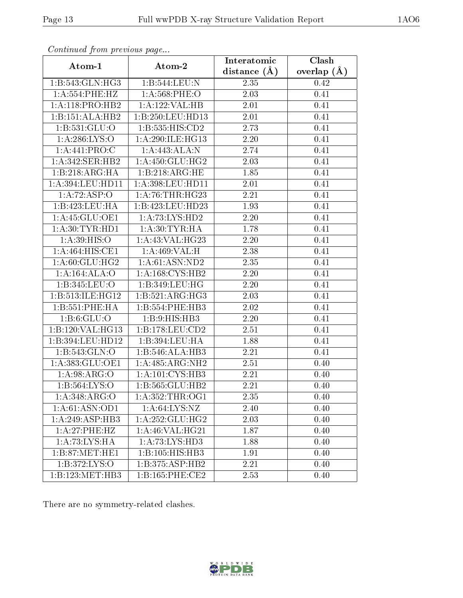| Atom-1                       | Atom-2                       | Interatomic       | Clash         |
|------------------------------|------------------------------|-------------------|---------------|
|                              |                              | distance $(A)$    | overlap $(A)$ |
| 1:B:543:GLN:HG3              | 1:B:544:LEU:N                | 2.35              | 0.42          |
| 1:A:554:PHE:HZ               | $1: A:568:$ PHE:O            | 2.03              | 0.41          |
| 1: A:118: PRO:HB2            | 1:A:122:VAL:HB               | 2.01              | 0.41          |
| $1:B:151:ALA:\overline{HB2}$ | 1:B:250:LEU:HD13             | 2.01              | 0.41          |
| 1:B:531:GLU:O                | 1:B:535:HIS:CD2              | 2.73              | 0.41          |
| 1: A:286: LYS:O              | 1:A:290:ILE:HG13             | 2.20              | 0.41          |
| 1:A:441:PRO:C                | 1:A:443:ALA:N                | 2.74              | 0.41          |
| 1: A:342: SER: HB2           | 1: A:450: GLU: HG2           | 2.03              | 0.41          |
| 1:B:218:ARG:HA               | 1:B:218:ARG:HE               | 1.85              | 0.41          |
| 1:A:394:LEU:HD11             | 1: A: 398: LEU: HD11         | $2.01\,$          | 0.41          |
| 1:A:72:ASP:O                 | 1: A:76:THR:HG23             | 2.21              | 0.41          |
| 1:B:423:LEU:HA               | 1:B:423:LEU:HD23             | 1.93              | 0.41          |
| 1:A:45:GLU:OE1               | 1:A:73:LYS:HD2               | 2.20              | 0.41          |
| 1: A:30: TYR: HD1            | 1: A:30: TYR: HA             | 1.78              | 0.41          |
| 1: A:39: HIS:O               | 1: A:43: VAL:HG23            | 2.20              | 0.41          |
| 1:A:464:HIS:CE1              | 1:A:469:VAL:H                | 2.38              | 0.41          |
| 1:A:60:GLU:HG2               | 1:A:61:ASN:ND2               | 2.35              | 0.41          |
| 1:A:164:ALA:O                | $1:A:168:CY\overline{S:HB2}$ | 2.20              | 0.41          |
| 1:B:345:LEU:O                | 1:B:349:LEU:HG               | 2.20              | 0.41          |
| 1:B:513:ILE:HG12             | 1:B:521:ARG:HG3              | 2.03              | 0.41          |
| 1: B: 551: PHE: HA           | 1:B:554:PHE:HB3              | $\overline{2}.02$ | 0.41          |
| 1: B:6: GLU:O                | 1:B:9:HIS:HB3                | 2.20              | 0.41          |
| 1:B:120:VAL:HG13             | 1:B:178:LEU:CD2              | 2.51              | 0.41          |
| 1:B:394:LEU:HD12             | 1:B:394:LEU:HA               | 1.88              | 0.41          |
| 1:B:543:GLN:O                | 1:B:546:ALA:HB3              | 2.21              | 0.41          |
| 1:A:383:GLU:OE1              | 1:A:485:ARG:NH2              | $\overline{2.51}$ | 0.40          |
| 1: A:98: ARG:O               | 1: A: 101: CYS: HB3          | 2.21              | 0.40          |
| 1: B: 564: LYS: O            | 1:B:565:GLU:HB2              | 2.21              | 0.40          |
| 1:A:348:ARG:O                | 1: A:352:THR:OG1             | 2.35              | 0.40          |
| 1: A:61: ASN:OD1             | 1: A:64: LYS:NZ              | 2.40              | 0.40          |
| 1:A:249:ASP:HB3              | 1: A:252: GLU:HG2            | 2.03              | 0.40          |
| 1: A:27:PHE:HZ               | 1: A:46: VAL:HG21            | 1.87              | 0.40          |
| 1: A:73: LYS:HA              | 1:A:73:LYS:HD3               | 1.88              | 0.40          |
| 1: B:87: MET:HE1             | 1: B: 105: HIS: HB3          | 1.91              | 0.40          |
| 1:B:372:LYS:O                | 1:B:375:ASP:HB2              | 2.21              | 0.40          |
| 1:B:123:MET:HB3              | 1:B:165:PHE:CE2              | 2.53              | 0.40          |

There are no symmetry-related clashes.

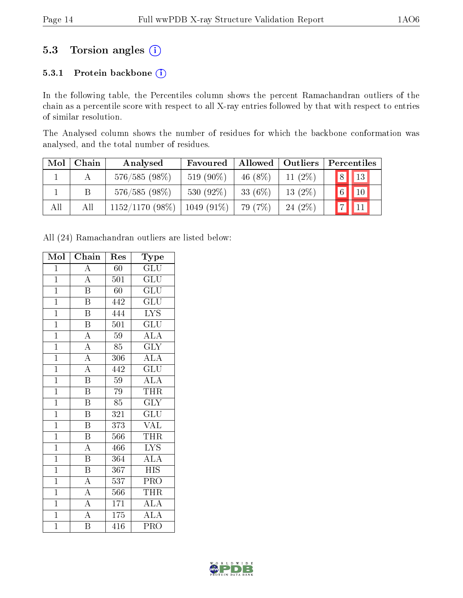## 5.3 Torsion angles (i)

#### 5.3.1 Protein backbone (i)

In the following table, the Percentiles column shows the percent Ramachandran outliers of the chain as a percentile score with respect to all X-ray entries followed by that with respect to entries of similar resolution.

The Analysed column shows the number of residues for which the backbone conformation was analysed, and the total number of residues.

| Mol | Chain | Analysed          | Favoured     |            | Allowed   Outliers | Percentiles |                |  |
|-----|-------|-------------------|--------------|------------|--------------------|-------------|----------------|--|
|     |       | $576/585(98\%)$   | 519 (90%)    | 46 $(8\%)$ | $11(2\%)$          | 8           | $\vert$ 13     |  |
|     | Β     | $576/585(98\%)$   | 530 $(92\%)$ | 33 $(6\%)$ | $13(2\%)$          | 6           | $\parallel$ 10 |  |
| All | All   | $1152/1170(98\%)$ | $1049(91\%)$ | 79 (7%)    | 24(2%)             |             | $\blacksquare$ |  |

All (24) Ramachandran outliers are listed below:

| Mol            | Chain                   | $\operatorname{Res}% \left\vert \mathcal{H}\right\vert =\operatorname*{Res}_{\left\vert \mathcal{H}\right\vert }% \left\vert \mathcal{H}% \right\vert =\operatorname*{Res}_{\left\vert \mathcal{H}\right\vert }% \left\vert \mathcal{H}% \right\vert =\operatorname*{R}\left( \left\vert \mathcal{H}% \right\vert \right)$ | Type                                |
|----------------|-------------------------|----------------------------------------------------------------------------------------------------------------------------------------------------------------------------------------------------------------------------------------------------------------------------------------------------------------------------|-------------------------------------|
| $\overline{1}$ | $\overline{\rm A}$      | 60                                                                                                                                                                                                                                                                                                                         | GLU                                 |
| $\overline{1}$ | $\overline{\rm A}$      | 501                                                                                                                                                                                                                                                                                                                        | GLU                                 |
| $\overline{1}$ | $\overline{\mathrm{B}}$ | 60                                                                                                                                                                                                                                                                                                                         | $\overline{\mathrm{GLU}}$           |
| $\overline{1}$ | $\, {\bf B}$            | 442                                                                                                                                                                                                                                                                                                                        | GLU                                 |
| $\overline{1}$ | $\overline{\mathrm{B}}$ | 444                                                                                                                                                                                                                                                                                                                        | <b>LYS</b>                          |
| $\overline{1}$ | $\overline{\mathrm{B}}$ | 501                                                                                                                                                                                                                                                                                                                        | $\overline{\mathrm{GLU}}$           |
| $\overline{1}$ | $\overline{\rm A}$      | 59                                                                                                                                                                                                                                                                                                                         | $\overline{\rm ALA}$                |
| $\overline{1}$ | $\overline{\rm A}$      | $\overline{85}$                                                                                                                                                                                                                                                                                                            | $\overline{\text{GLY}}$             |
| $\overline{1}$ | $\overline{A}$          | 306                                                                                                                                                                                                                                                                                                                        | $\overline{\text{ALA}}$             |
| $\overline{1}$ | $\overline{A}$          | 442                                                                                                                                                                                                                                                                                                                        | GLU                                 |
| $\overline{1}$ | $\overline{\mathrm{B}}$ | 59                                                                                                                                                                                                                                                                                                                         | $\overline{ALA}$                    |
| $\overline{1}$ | $\overline{\mathrm{B}}$ | 79                                                                                                                                                                                                                                                                                                                         | THR                                 |
| $\overline{1}$ | $\overline{\mathrm{B}}$ | $\overline{85}$                                                                                                                                                                                                                                                                                                            | $\overline{\text{GLY}}$             |
| $\overline{1}$ | $\overline{\mathrm{B}}$ | 321                                                                                                                                                                                                                                                                                                                        | $\mathrm{GL} \overline{\mathrm{U}}$ |
| $\overline{1}$ | $\overline{\mathrm{B}}$ | $\overline{3}73$                                                                                                                                                                                                                                                                                                           | <b>VAL</b>                          |
| $\overline{1}$ | $\overline{\mathrm{B}}$ | 566                                                                                                                                                                                                                                                                                                                        | <b>THR</b>                          |
| $\overline{1}$ | $\overline{\rm A}$      | 466                                                                                                                                                                                                                                                                                                                        | $\overline{\text{LYS}}$             |
| $\overline{1}$ | $\overline{\mathrm{B}}$ | 364                                                                                                                                                                                                                                                                                                                        | $\overline{\text{ALA}}$             |
| $\overline{1}$ | $\overline{\mathrm{B}}$ | 367                                                                                                                                                                                                                                                                                                                        | <b>HIS</b>                          |
| $\overline{1}$ | $\overline{\rm A}$      | $\overline{537}$                                                                                                                                                                                                                                                                                                           | $\overline{\mathrm{PRO}}$           |
| $\overline{1}$ | $\overline{\rm A}$      | 566                                                                                                                                                                                                                                                                                                                        | <b>THR</b>                          |
| $\overline{1}$ | $\overline{\rm A}$      | 171                                                                                                                                                                                                                                                                                                                        | ALA                                 |
| $\overline{1}$ | $\overline{A}$          | 175                                                                                                                                                                                                                                                                                                                        | <b>ALA</b>                          |
| $\mathbf{1}$   | Β                       | 416                                                                                                                                                                                                                                                                                                                        | PRO                                 |

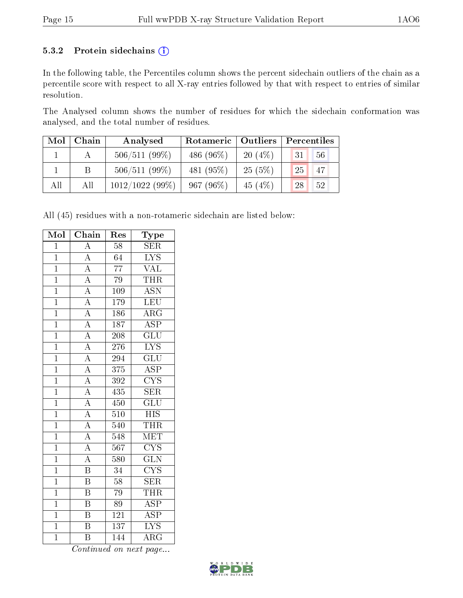#### 5.3.2 Protein sidechains (i)

In the following table, the Percentiles column shows the percent sidechain outliers of the chain as a percentile score with respect to all X-ray entries followed by that with respect to entries of similar resolution.

The Analysed column shows the number of residues for which the sidechain conformation was analysed, and the total number of residues.

| Mol | Chain | Analysed          | Rotameric   Outliers |           | Percentiles |
|-----|-------|-------------------|----------------------|-----------|-------------|
|     |       | $506/511(99\%)$   | 486 (96\%)           | $20(4\%)$ | 56<br>31    |
|     |       | 506/511(99%)      | 481 (95%)            | 25(5%)    | 47<br>25    |
| All | All   | $1012/1022(99\%)$ | $967(96\%)$          | 45 $(4%)$ | 28<br>52    |

All (45) residues with a non-rotameric sidechain are listed below:

| Mol            | Chain                   | Res              | Type                    |
|----------------|-------------------------|------------------|-------------------------|
| $\mathbf{1}$   | $\overline{\rm A}$      | 58               | <b>SER</b>              |
| $\overline{1}$ | $\overline{A}$          | $\overline{64}$  | $\overline{\text{LYS}}$ |
| $\overline{1}$ | $\overline{A}$          | $\overline{77}$  | $\overline{\text{VAL}}$ |
| $\mathbf{1}$   | $\overline{A}$          | $\overline{79}$  | THR                     |
| $\overline{1}$ | $\overline{A}$          | $\overline{109}$ | $\overline{\text{ASN}}$ |
| $\mathbf 1$    | $\overline{A}$          | 179              | LEU                     |
| $\overline{1}$ | $\overline{A}$          | $18\overline{6}$ | $\overline{\rm{ARG}}$   |
| $\overline{1}$ | $\frac{1}{A}$           | 187              | <b>ASP</b>              |
| $\overline{1}$ | $\overline{A}$          | 208              | $\overline{{\rm GLU}}$  |
| $\overline{1}$ | $\overline{A}$          | 276              | $\overline{\text{LYS}}$ |
| $\mathbf{1}$   | $\overline{A}$          | 294              | $\overline{\text{GLU}}$ |
| $\overline{1}$ | $\overline{A}$          | 375              | $\overline{\text{ASP}}$ |
| $\mathbf 1$    | $\overline{A}$          | 392              | $\overline{\text{CYS}}$ |
| $\overline{1}$ | $\overline{A}$          | 435              | $\overline{\text{SER}}$ |
| $\overline{1}$ | $\overline{A}$          | 450              | $\overline{\text{GLU}}$ |
| $\overline{1}$ | $\overline{A}$          | $\overline{510}$ | <b>HIS</b>              |
| $\overline{1}$ | $\overline{A}$          | 540              | <b>THR</b>              |
| $\mathbf{1}$   | $\overline{A}$          | 548              | $\overline{\text{MET}}$ |
| $\overline{1}$ | $\overline{A}$          | $\overline{567}$ | $\overline{\text{CYS}}$ |
| $\overline{1}$ | $\overline{\rm A}$      | 580              | $\overline{\text{GLN}}$ |
| $\overline{1}$ | $\overline{\mathbf{B}}$ | 34               | $\overline{\text{CYS}}$ |
| $\overline{1}$ | $\overline{\mathrm{B}}$ | $\overline{58}$  | $\overline{\text{SER}}$ |
| $\overline{1}$ | $\overline{\mathrm{B}}$ | 79               | THR                     |
| $\overline{1}$ | $\overline{\mathrm{B}}$ | 89               | $\overline{\text{ASP}}$ |
| $\mathbf 1$    | $\overline{\mathrm{B}}$ | $\overline{121}$ | $\overline{\text{ASP}}$ |
| $\overline{1}$ | $\overline{\rm B}$      | 137              | $\overline{\text{LYS}}$ |
| $\mathbf 1$    | $\overline{\mathrm{B}}$ | 144              | $\overline{\rm{ARG}}$   |

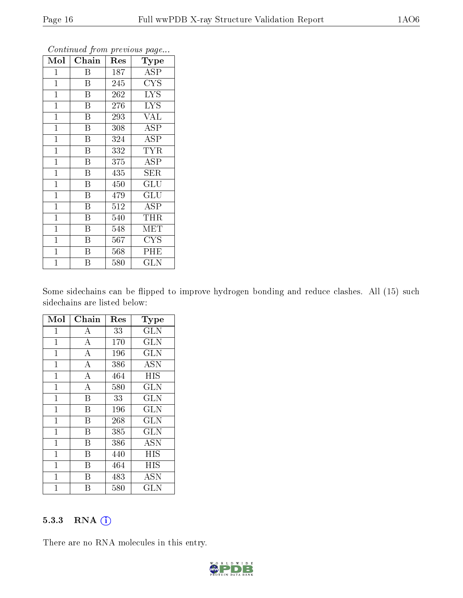| Mol            | Chain                   | Res | Type                    |
|----------------|-------------------------|-----|-------------------------|
| $\mathbf 1$    | Β                       | 187 | <b>ASP</b>              |
| $\mathbf{1}$   | B                       | 245 | $\overline{\text{CYS}}$ |
| $\mathbf{1}$   | B                       | 262 | <b>LYS</b>              |
| $\mathbf{1}$   | $\boldsymbol{B}$        | 276 | <b>LYS</b>              |
| $\overline{1}$ | $\overline{\mathrm{B}}$ | 293 | <b>VAL</b>              |
| $\overline{1}$ | $\overline{\mathbf{B}}$ | 308 | <b>ASP</b>              |
| $\overline{1}$ | $\overline{\mathrm{B}}$ | 324 | <b>ASP</b>              |
| $\mathbf{1}$   | B                       | 332 | TYR                     |
| $\mathbf{1}$   | $\overline{\mathrm{B}}$ | 375 | ASP                     |
| $\mathbf{1}$   | $\overline{\mathrm{B}}$ | 435 | <b>SER</b>              |
| $\mathbf{1}$   | $\boldsymbol{B}$        | 450 | GLU                     |
| $\mathbf{1}$   | Β                       | 479 | $\overline{\text{GLU}}$ |
| $\mathbf{1}$   | $\overline{B}$          | 512 | ASP                     |
| $\mathbf{1}$   | B                       | 540 | THR                     |
| $\mathbf{1}$   | $\overline{\mathrm{B}}$ | 548 | $\textrm{MET}$          |
| $\mathbf{1}$   | $\boldsymbol{B}$        | 567 | $_{\mathrm{CYS}}$       |
| $\mathbf{1}$   | $\boldsymbol{B}$        | 568 | PHE                     |
| $\mathbf 1$    | B                       | 580 | <b>GLN</b>              |

Some sidechains can be flipped to improve hydrogen bonding and reduce clashes. All (15) such sidechains are listed below:

| Mol            | Chain              | Res | Type                    |
|----------------|--------------------|-----|-------------------------|
| $\mathbf{1}$   | A                  | 33  | <b>GLN</b>              |
| $\mathbf{1}$   | $\bf{A}$           | 170 | <b>GLN</b>              |
| $\mathbf{1}$   | $\overline{\rm A}$ | 196 | $\overline{\text{GLN}}$ |
| $\mathbf 1$    | $\overline{A}$     | 386 | <b>ASN</b>              |
| $\mathbf{1}$   | $\bf{A}$           | 464 | <b>HIS</b>              |
| $\mathbf{1}$   | $\overline{\rm A}$ | 580 | <b>GLN</b>              |
| $\mathbf 1$    | B                  | 33  | <b>GLN</b>              |
| $\mathbf{1}$   | B                  | 196 | GLN                     |
| $\mathbf{1}$   | B                  | 268 | <b>GLN</b>              |
| $\mathbf 1$    | В                  | 385 | <b>GLN</b>              |
| $\mathbf{1}$   | B                  | 386 | $\overline{\rm{ASN}}$   |
| $\mathbf{1}$   | B                  | 440 | HIS                     |
| $\mathbf{1}$   | В                  | 464 | HIS                     |
| $\mathbf{1}$   | В                  | 483 | <b>ASN</b>              |
| $\overline{1}$ | В                  | 580 | GLN                     |

#### 5.3.3 RNA (i)

There are no RNA molecules in this entry.

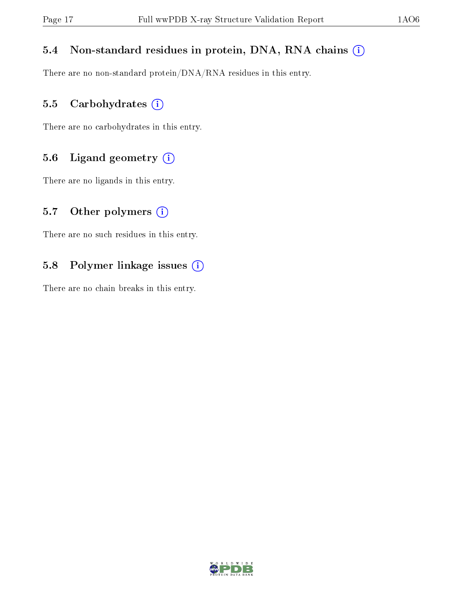#### 5.4 Non-standard residues in protein, DNA, RNA chains (i)

There are no non-standard protein/DNA/RNA residues in this entry.

#### 5.5 Carbohydrates (i)

There are no carbohydrates in this entry.

#### 5.6 Ligand geometry (i)

There are no ligands in this entry.

#### 5.7 [O](https://www.wwpdb.org/validation/2017/XrayValidationReportHelp#nonstandard_residues_and_ligands)ther polymers  $(i)$

There are no such residues in this entry.

#### 5.8 Polymer linkage issues (i)

There are no chain breaks in this entry.

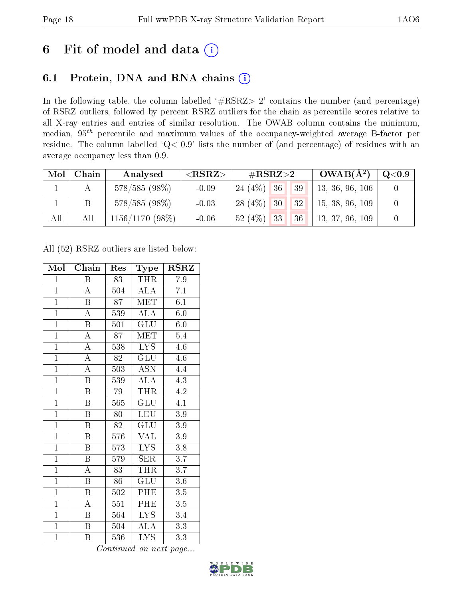## 6 Fit of model and data  $(i)$

## 6.1 Protein, DNA and RNA chains  $(i)$

In the following table, the column labelled  $#RSRZ> 2'$  contains the number (and percentage) of RSRZ outliers, followed by percent RSRZ outliers for the chain as percentile scores relative to all X-ray entries and entries of similar resolution. The OWAB column contains the minimum, median,  $95<sup>th</sup>$  percentile and maximum values of the occupancy-weighted average B-factor per residue. The column labelled ' $Q< 0.9$ ' lists the number of (and percentage) of residues with an average occupancy less than 0.9.

| Mol | Chain | Analysed          | ${ <\hspace{-1.5pt}{\mathrm{RSRZ}} \hspace{-1.5pt}>}$ | $\#\text{RSRZ}{>}2$                      | $\overline{\text{OWAB(A)}^2}$ | Q <sub>0.9</sub> |
|-----|-------|-------------------|-------------------------------------------------------|------------------------------------------|-------------------------------|------------------|
|     |       | $578/585(98\%)$   | $-0.09$                                               | $24(4\%)$ 36<br>$\sqrt{39}$              | 13, 36, 96, 106               |                  |
|     |       | $578/585(98\%)$   | $-0.03$                                               | $28(4\%)$ 30<br> 32                      | 15, 38, 96, 109               |                  |
| All | Аll   | $1156/1170(98\%)$ | $-0.06$                                               | 52(4%)<br>$\vert$ 33<br>136 <sup>1</sup> | 13, 37, 96, 109               |                  |

All (52) RSRZ outliers are listed below:

| Mol            | Chain                   | Res             | Type                      | $\rm RSRZ$       |
|----------------|-------------------------|-----------------|---------------------------|------------------|
| $\mathbf{1}$   | Β                       | 83              | <b>THR</b>                | 7.9              |
| $\overline{1}$ | $\boldsymbol{A}$        | 504             | <b>ALA</b>                | 7.1              |
| $\overline{1}$ | $\overline{\mathrm{B}}$ | $\overline{87}$ | <b>MET</b>                | 6.1              |
| $\overline{1}$ | $\overline{\rm A}$      | 539             | <b>ALA</b>                | 6.0              |
| $\overline{1}$ | $\overline{\mathrm{B}}$ | 501             | $\overline{\mathrm{GLU}}$ | 6.0              |
| $\overline{1}$ | $\overline{\rm A}$      | 87              | MET                       | 5.4              |
| $\overline{1}$ | $\overline{\rm A}$      | 538             | LYS                       | $4.6\,$          |
| $\overline{1}$ | $\overline{\rm A}$      | 82              | $\overline{{\rm GLU}}$    | 4.6              |
| $\overline{1}$ | $\overline{\rm A}$      | 503             | <b>ASN</b>                | 4.4              |
| $\overline{1}$ | $\overline{\mathrm{B}}$ | 539             | $\overline{\rm ALA}$      | 4.3              |
| $\overline{1}$ | $\overline{\mathrm{B}}$ | 79              | <b>THR</b>                | 4.2              |
| $\overline{1}$ | $\overline{\mathrm{B}}$ | 565             | $\overline{{\rm GLU}}$    | $\overline{4.1}$ |
| $\overline{1}$ | $\overline{B}$          | 80              | <b>LEU</b>                | $3.9\,$          |
| $\overline{1}$ | $\overline{\mathrm{B}}$ | 82              | $\widetilde{{\rm GLU}}$   | 3.9              |
| $\overline{1}$ | $\overline{\mathrm{B}}$ | 576             | $\overline{\text{VAL}}$   | 3.9              |
| $\mathbf{1}$   | $\boldsymbol{B}$        | 573             | $\overline{\text{LYS}}$   | 3.8              |
| $\overline{1}$ | $\overline{\mathrm{B}}$ | 579             | $\overline{\text{SER}}$   | $\overline{3.7}$ |
| $\overline{1}$ | $\overline{\rm A}$      | 83              | <b>THR</b>                | $\overline{3.7}$ |
| $\overline{1}$ | $\overline{\mathrm{B}}$ | 86              | $\overline{{\rm GLU}}$    | $\overline{3.6}$ |
| $\overline{1}$ | $\overline{\mathrm{B}}$ | 502             | PHE                       | 3.5              |
| $\overline{1}$ | $\overline{\rm A}$      | 551             | PHE                       | 3.5              |
| $\overline{1}$ | Β                       | 564             | LYS.                      | $\overline{3}.4$ |
| $\mathbf{1}$   | $\boldsymbol{B}$        | 504             | <b>ALA</b>                | 3.3              |
| $\mathbf{1}$   | B                       | 536             | $\overline{\text{LYS}}$   | 3.3              |

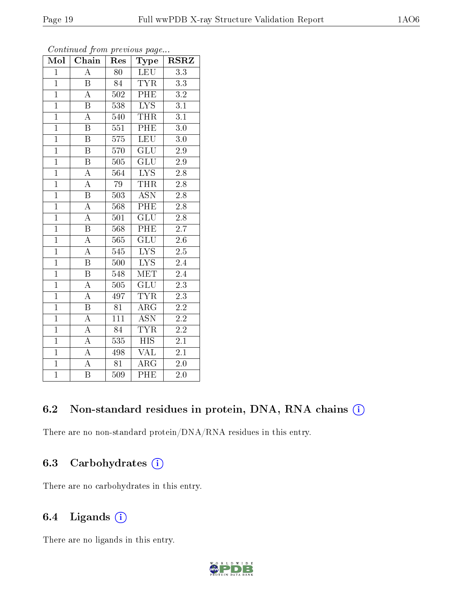| Mol            | Chain                   | Res              | Type                      | $_{\rm RSRZ}$    |
|----------------|-------------------------|------------------|---------------------------|------------------|
| $\mathbf{1}$   | $\overline{A}$          | 80               | <b>LEU</b>                | $\overline{3.3}$ |
| $\overline{1}$ | $\boldsymbol{B}$        | 84               | <b>TYR</b>                | $3.3\,$          |
| $\overline{1}$ | $\overline{\rm A}$      | 502              | PHE                       | $\overline{3.2}$ |
| $\overline{1}$ | $\overline{\mathrm{B}}$ | 538              | $\overline{LYS}$          | $\overline{3.1}$ |
| $\overline{1}$ | $\overline{\rm A}$      | 540              | THR                       | $\overline{3.1}$ |
| $\mathbf{1}$   | $\overline{\mathrm{B}}$ | 551              | PHE                       | $3.0\,$          |
| $\overline{1}$ | $\boldsymbol{B}$        | 575              | LEU                       | $3.0\,$          |
| $\overline{1}$ | $\overline{\mathrm{B}}$ | 570              | $\overline{\text{GLU}}$   | $\overline{2.9}$ |
| $\overline{1}$ | $\overline{\mathrm{B}}$ | 505              | $\overline{{\rm GLU}}$    | $2.9\,$          |
| $\overline{1}$ | $\overline{\rm A}$      | $\overline{564}$ | $\overline{\text{LYS}}$   | $\overline{2.8}$ |
| $\overline{1}$ | $\overline{\rm A}$      | 79               | <b>THR</b>                | 2.8              |
| $\overline{1}$ | $\overline{\mathrm{B}}$ | 503              | $\overline{\mathrm{ASN}}$ | $\overline{2.8}$ |
| $\overline{1}$ | $\overline{\rm A}$      | 568              | PHE                       | $\overline{2.8}$ |
| $\overline{1}$ | $\overline{\rm A}$      | 501              | $\overline{\text{GLU}}$   | 2.8              |
| $\overline{1}$ | $\overline{\mathrm{B}}$ | 568              | PHE                       | $\overline{2.7}$ |
| $\mathbf{1}$   | $\boldsymbol{A}$        | 565              | $\overline{\text{GLU}}$   | $2.6\,$          |
| $\overline{1}$ | $\overline{A}$          | 545              | $\overline{\text{LYS}}$   | $2.\overline{5}$ |
| $\overline{1}$ | $\overline{\mathrm{B}}$ | 500              | $\overline{LYS}$          | 2.4              |
| $\overline{1}$ | $\overline{\mathrm{B}}$ | 548              | <b>MET</b>                | 2.4              |
| $\overline{1}$ | $\overline{\rm A}$      | 505              | GLU                       | $\overline{2.3}$ |
| $\overline{1}$ | $\boldsymbol{A}$        | 497              | <b>TYR</b>                | $\overline{2.3}$ |
| $\overline{1}$ | $\overline{\mathrm{B}}$ | $\overline{81}$  | $\rm{ARG}$                | $2.\overline{2}$ |
| $\overline{1}$ | $\rm A$                 | $\overline{111}$ | <b>ASN</b>                | $\overline{2.2}$ |
| $\overline{1}$ | $\overline{A}$          | $\overline{84}$  | $\overline{\text{TYR}}$   | $\overline{2.2}$ |
| $\overline{1}$ | $\overline{\rm A}$      | $\overline{535}$ | $\overline{HIS}$          | $\overline{2.1}$ |
| $\overline{1}$ | A                       | 498              | VAL                       | 2.1              |
| $\overline{1}$ | $\overline{A}$          | $\overline{81}$  | $\rm{ARG}$                | $2.0\,$          |
| $\overline{1}$ | $\overline{\mathrm{B}}$ | 509              | PHE                       | 2.0              |

#### 6.2 Non-standard residues in protein, DNA, RNA chains (i)

There are no non-standard protein/DNA/RNA residues in this entry.

### 6.3 Carbohydrates (i)

There are no carbohydrates in this entry.

### 6.4 Ligands (i)

There are no ligands in this entry.